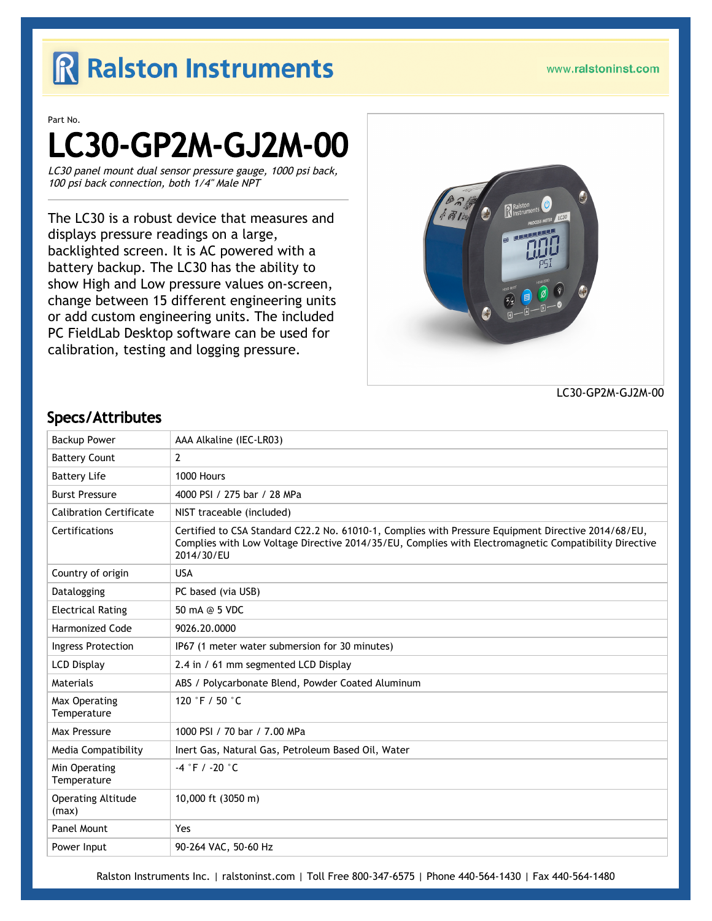## R Ralston Instruments

Part No.

# LC30-GP2M-GJ2M-00

LC30 panel mount dual sensor pressure gauge, 1000 psi back, 100 psi back connection, both 1/4" Male NPT

The LC30 is a robust device that measures and displays pressure readings on a large, backlighted screen. It is AC powered with a battery backup. The LC30 has the ability to show High and Low pressure values on-screen, change between 15 different engineering units or add custom engineering units. The included PC FieldLab Desktop software can be used for calibration, testing and logging pressure.



LC30-GP2M-GJ2M-00

#### Backup Power AAA Alkaline (IEC-LR03) Battery Count 2 Battery Life 1000 Hours Burst Pressure 4000 PSI / 275 bar / 28 MPa Calibration Certificate  $\parallel$  NIST traceable (included) Certifications Certified to CSA Standard C22.2 No. 61010-1, Complies with Pressure Equipment Directive 2014/68/EU, Complies with Low Voltage Directive 2014/35/EU, Complies with Electromagnetic Compatibility Directive 2014/30/EU Country of origin USA Datalogging **PC** based (via USB) Electrical Rating  $\vert$  50 mA @ 5 VDC Harmonized Code 9026.20.0000 Ingress Protection | IP67 (1 meter water submersion for 30 minutes) LCD Display 2.4 in / 61 mm segmented LCD Display Materials ABS / Polycarbonate Blend, Powder Coated Aluminum Max Operating Temperature 120 °F / 50 °C Max Pressure 1000 PSI / 70 bar / 7.00 MPa Media Compatibility | Inert Gas, Natural Gas, Petroleum Based Oil, Water Min Operating Temperature -4 °F / -20 °C Operating Altitude (max) 10,000 ft (3050 m) Panel Mount Yes Power Input 90-264 VAC, 50-60 Hz

#### Specs/Attributes

Ralston Instruments Inc. | [ralstoninst.com](https://www.ralstoninst.com) | Toll Free 800-347-6575 | Phone 440-564-1430 | Fax 440-564-1480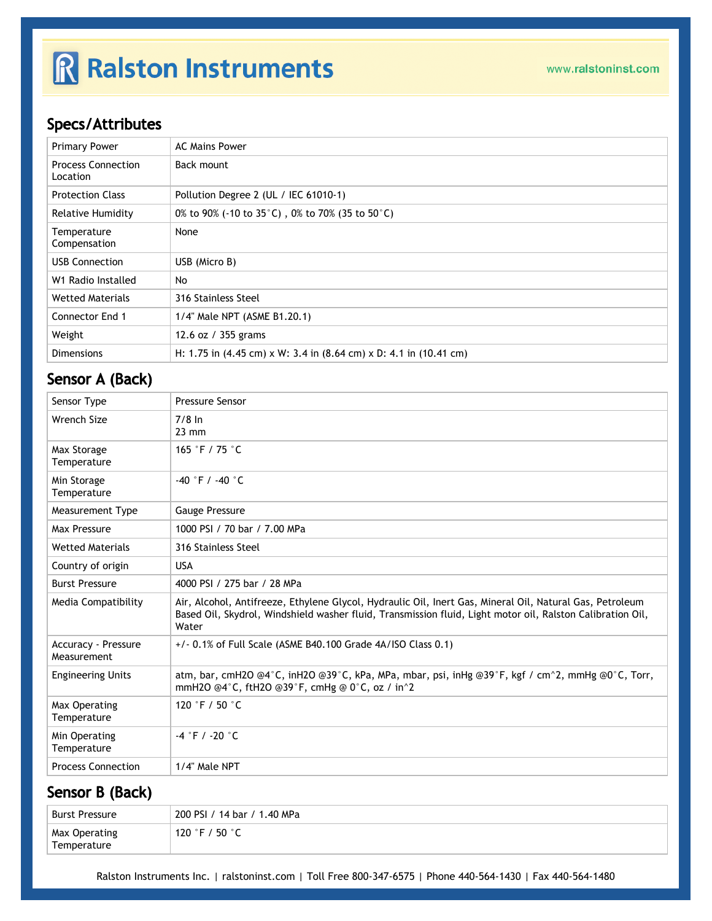## R Ralston Instruments

### Specs/Attributes

| <b>Primary Power</b>                  | <b>AC Mains Power</b>                                                                                       |
|---------------------------------------|-------------------------------------------------------------------------------------------------------------|
| <b>Process Connection</b><br>Location | Back mount                                                                                                  |
| <b>Protection Class</b>               | Pollution Degree 2 (UL / IEC 61010-1)                                                                       |
| <b>Relative Humidity</b>              | 0% to 90% (-10 to 35 $^{\circ}$ C), 0% to 70% (35 to 50 $^{\circ}$ C)                                       |
| Temperature<br>Compensation           | None                                                                                                        |
| <b>USB Connection</b>                 | USB (Micro B)                                                                                               |
| W1 Radio Installed                    | No                                                                                                          |
| <b>Wetted Materials</b>               | 316 Stainless Steel                                                                                         |
| <b>Connector End 1</b>                | 1/4" Male NPT (ASME B1.20.1)                                                                                |
| Weight                                | 12.6 oz / 355 grams                                                                                         |
| <b>Dimensions</b>                     | H: 1.75 in $(4.45 \text{ cm}) \times W$ : 3.4 in $(8.64 \text{ cm}) \times D$ : 4.1 in $(10.41 \text{ cm})$ |

### Sensor A (Back)

| Sensor Type                               | <b>Pressure Sensor</b>                                                                                                                                                                                                          |
|-------------------------------------------|---------------------------------------------------------------------------------------------------------------------------------------------------------------------------------------------------------------------------------|
| Wrench Size                               | $7/8$ In<br>$23 \text{ mm}$                                                                                                                                                                                                     |
| Max Storage<br>Temperature                | 165 °F / 75 °C                                                                                                                                                                                                                  |
| Min Storage<br>Temperature                | $-40$ °F / $-40$ °C                                                                                                                                                                                                             |
| Measurement Type                          | Gauge Pressure                                                                                                                                                                                                                  |
| Max Pressure                              | 1000 PSI / 70 bar / 7.00 MPa                                                                                                                                                                                                    |
| <b>Wetted Materials</b>                   | 316 Stainless Steel                                                                                                                                                                                                             |
| Country of origin                         | <b>USA</b>                                                                                                                                                                                                                      |
| <b>Burst Pressure</b>                     | 4000 PSI / 275 bar / 28 MPa                                                                                                                                                                                                     |
| Media Compatibility                       | Air, Alcohol, Antifreeze, Ethylene Glycol, Hydraulic Oil, Inert Gas, Mineral Oil, Natural Gas, Petroleum<br>Based Oil, Skydrol, Windshield washer fluid, Transmission fluid, Light motor oil, Ralston Calibration Oil,<br>Water |
| <b>Accuracy - Pressure</b><br>Measurement | $+/-$ 0.1% of Full Scale (ASME B40.100 Grade 4A/ISO Class 0.1)                                                                                                                                                                  |
| <b>Engineering Units</b>                  | atm, bar, cmH2O @4°C, inH2O @39°C, kPa, MPa, mbar, psi, inHg @39°F, kgf / cm^2, mmHg @0°C, Torr,<br>mmH2O @4°C, ftH2O @39°F, cmHg @ 0°C, oz / in^2                                                                              |
| Max Operating<br>Temperature              | 120 °F / 50 $^{\circ}$ C                                                                                                                                                                                                        |
| Min Operating<br>Temperature              | $-4$ °F / -20 °C                                                                                                                                                                                                                |
| <b>Process Connection</b>                 | 1/4" Male NPT                                                                                                                                                                                                                   |

#### Sensor B (Back)

| Burst Pressure               | 200 PSI / 14 bar / 1.40 MPa |
|------------------------------|-----------------------------|
| Max Operating<br>Temperature | ີ 120 °F / 50 °C            |

Ralston Instruments Inc. | [ralstoninst.com](https://www.ralstoninst.com) | Toll Free 800-347-6575 | Phone 440-564-1430 | Fax 440-564-1480